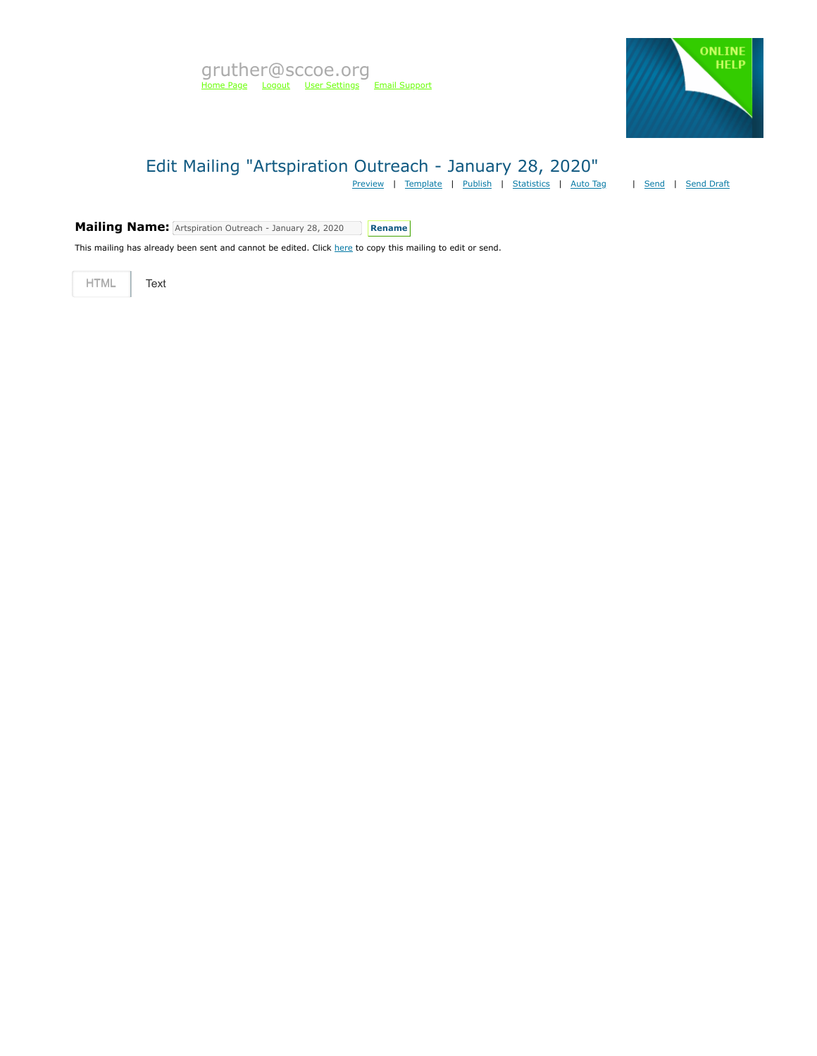

# Edit Mailing "Artspiration Outreach - January 28, 2020"

[Preview](https://mvapp.marketvolt.com/Mailing/Preview/708868) | [Template](https://mvapp.marketvolt.com/TemplatePreview.aspx?TemplateId=35366) | [Publish](https://mvapp.marketvolt.com/Mailing/Publish/708868) | [Statistics](https://mvapp.marketvolt.com/StatsMailing.aspx?MailingID=708868) | [Auto Tag](https://mvapp.marketvolt.com/AutoAssign.aspx?MailingID=708868) | [Send](https://mvapp.marketvolt.com/Mailing/Schedule/708868) | [Send Draft](https://mvapp.marketvolt.com/SendDraft.aspx?MailingID=708868)

**Mailing Name:** Artspiration Outreach - January 28, 2020 **Rename** 

This mailing has already been sent and cannot be edited. Click [here](https://mvapp.marketvolt.com/Mailing/Copy/708868) to copy this mailing to edit or send.

HTML **Text**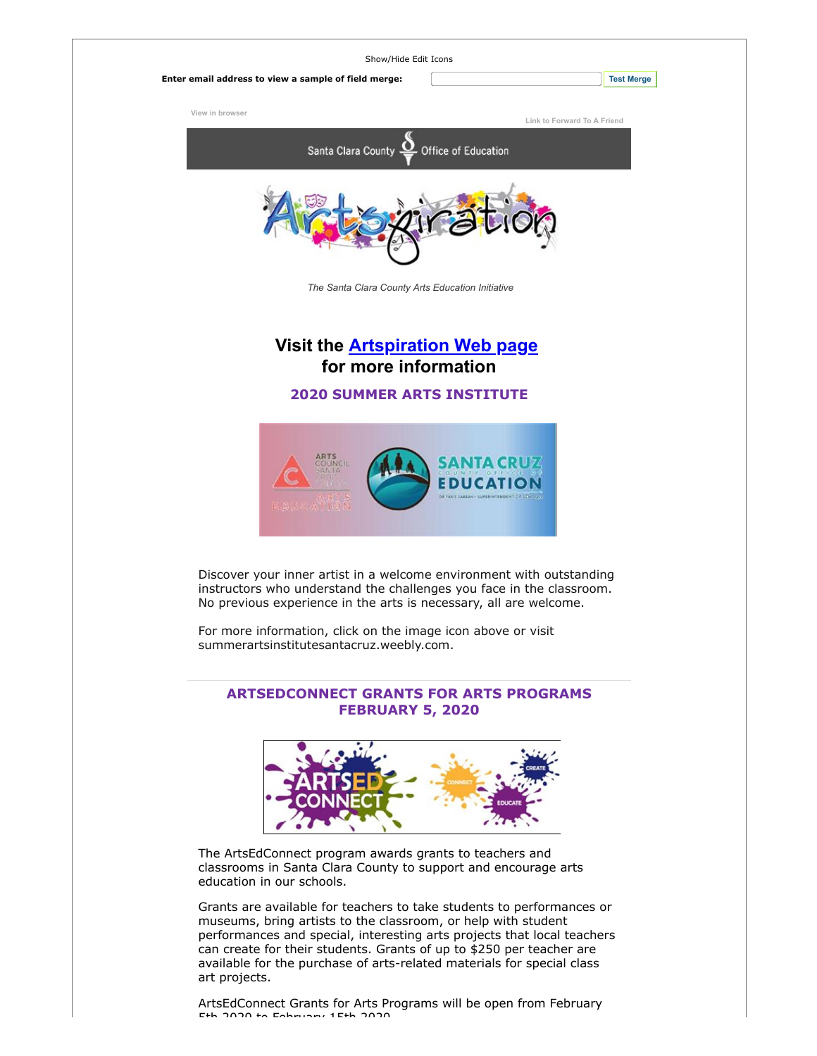

## **ARTSEDCONNECT GRANTS FOR ARTS PROGRAMS FEBRUARY 5, 2020**



The ArtsEdConnect program awards grants to teachers and classrooms in Santa Clara County to support and encourage arts education in our schools.

Grants are available for teachers to take students to performances or museums, bring artists to the classroom, or help with student performances and special, interesting arts projects that local teachers can create for their students. Grants of up to \$250 per teacher are available for the purchase of arts-related materials for special class art projects.

ArtsEdConnect Grants for Arts Programs will be open from February 5th 2020 to February 15th 2020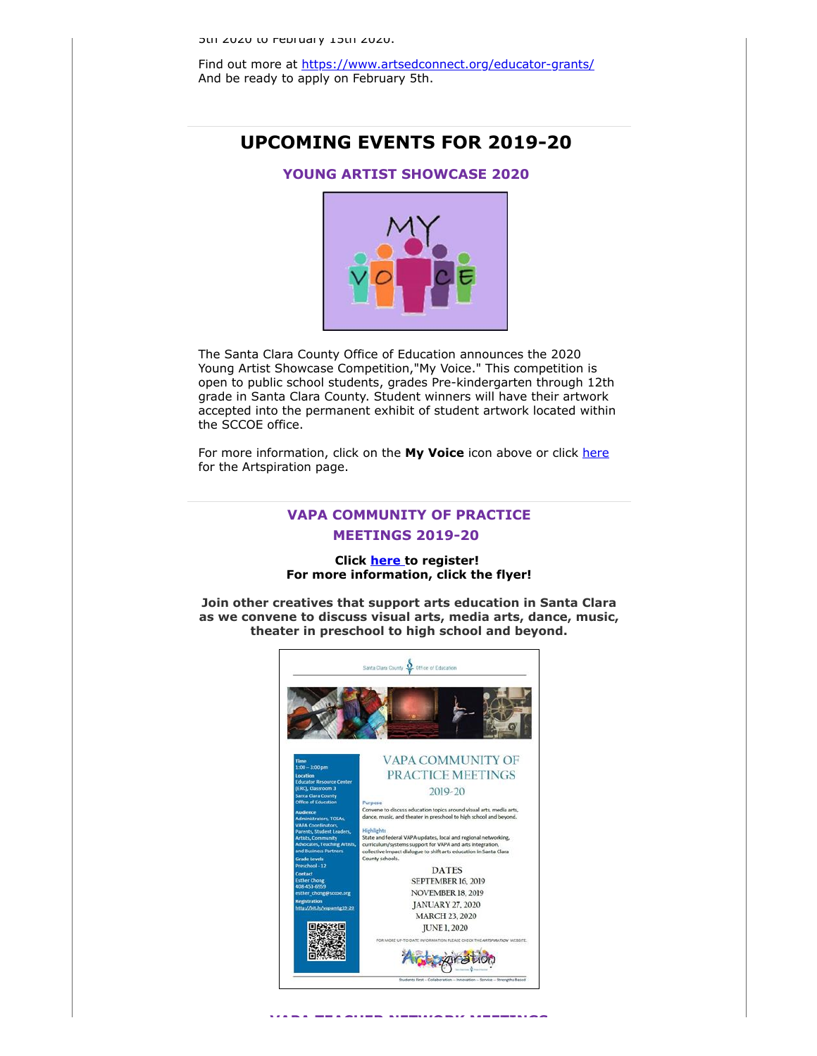Find out more at [https://www.artsedconnect.org/educator-grants/](https://custapp.marketvolt.com/link/qrmFBM4vgQ?CM=0&X=PREVIEW) And be ready to apply on February 5th.

## **UPCOMING EVENTS FOR 2019-20**

## **YOUNG ARTIST SHOWCASE 2020**



The Santa Clara County Office of Education announces the 2020 Young Artist Showcase Competition,"My Voice." This competition is open to public school students, grades Pre-kindergarten through 12th grade in Santa Clara County. Student winners will have their artwork accepted into the permanent exhibit of student artwork located within the SCCOE office.

For more information, click on the My Voice icon above or click [here](https://custapp.marketvolt.com/link/TfM893sdto?CM=0&X=PREVIEW) for the Artspiration page.

## **VAPA COMMUNITY OF PRACTICE MEETINGS 2019-20**

## **Click [here t](https://custapp.marketvolt.com/link/bTbpp26EIX?CM=0&X=PREVIEW)o register! For more information, click the flyer!**

**Join other creatives that support arts education in Santa Clara as we convene to discuss visual arts, media arts, dance, music, theater in preschool to high school and beyond.**

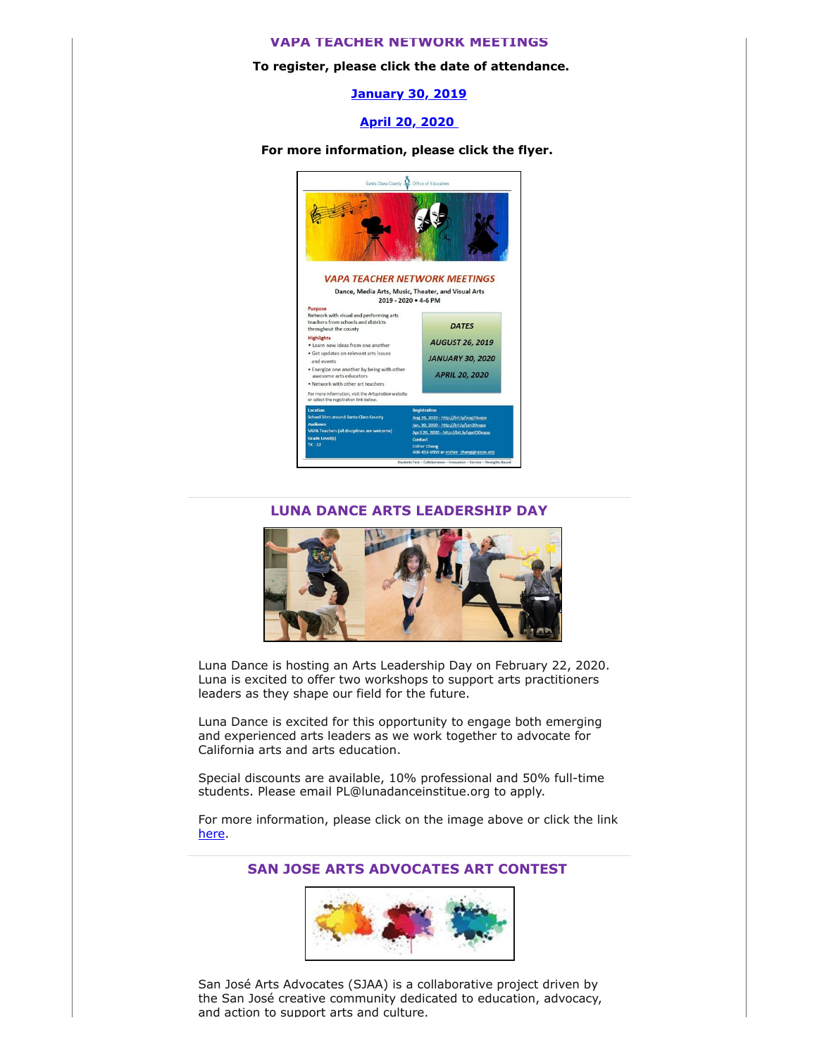#### **VAPA TEACHER NETWORK MEETINGS**

#### **To register, please click the date of attendance.**

**[January 30, 2019](https://custapp.marketvolt.com/link/fX2Iex2iBo?CM=0&X=PREVIEW)**

### **[April 20, 2020](https://custapp.marketvolt.com/link/6fcGfmUauI?CM=0&X=PREVIEW)**

**For more information, please click the flyer.** 



### **LUNA DANCE ARTS LEADERSHIP DAY**



Luna Dance is hosting an Arts Leadership Day on February 22, 2020. Luna is excited to offer two workshops to support arts practitioners leaders as they shape our field for the future.

Luna Dance is excited for this opportunity to engage both emerging and experienced arts leaders as we work together to advocate for California arts and arts education.

Special discounts are available, 10% professional and 50% full-time students. Please email PL@lunadanceinstitue.org to apply.

For more information, please click on the image above or click the link [here.](https://custapp.marketvolt.com/link/vuzfZ7MR3b?CM=0&X=PREVIEW)

## **SAN JOSE ARTS ADVOCATES ART CONTEST**



San José Arts Advocates (SJAA) is a collaborative project driven by the San José creative community dedicated to education, advocacy, and action to support arts and culture.